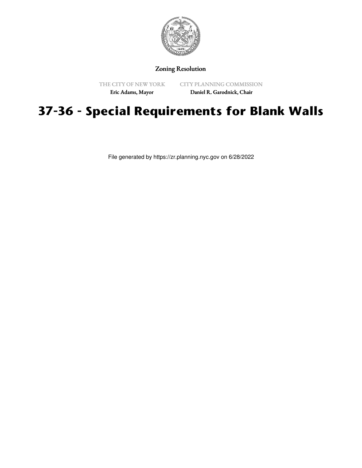

# Zoning Resolution

THE CITY OF NEW YORK Eric Adams, Mayor

CITY PLANNING COMMISSION Daniel R. Garodnick, Chair

# **37-36 - Special Requirements for Blank Walls**

File generated by https://zr.planning.nyc.gov on 6/28/2022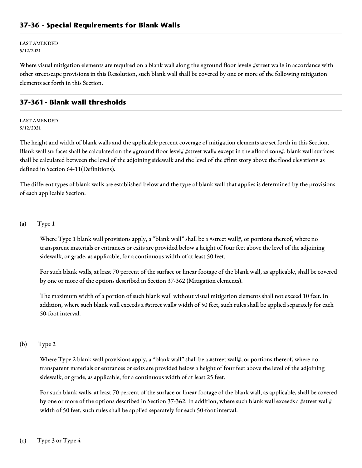## **37-36 - Special Requirements for Blank Walls**

LAST AMENDED 5/12/2021

Where visual mitigation elements are required on a blank wall along the #ground floor level# #street wall# in accordance with other streetscape provisions in this Resolution, such blank wall shall be covered by one or more of the following mitigation elements set forth in this Section.

## **37-361 - Blank wall thresholds**

#### LAST AMENDED 5/12/2021

The height and width of blank walls and the applicable percent coverage of mitigation elements are set forth in this Section. Blank wall surfaces shall be calculated on the #ground floor level# #street wall# except in the #flood zone#, blank wall surfaces shall be calculated between the level of the adjoining sidewalk and the level of the #first story above the flood elevation# as defined in Section 64-11(Definitions).

The different types of blank walls are established below and the type of blank wall that applies is determined by the provisions of each applicable Section.

### (a) Type 1

Where Type 1 blank wall provisions apply, a "blank wall" shall be a #street wall#, or portions thereof, where no transparent materials or entrances or exits are provided below a height of four feet above the level of the adjoining sidewalk, or grade, as applicable, for a continuous width of at least 50 feet.

For such blank walls, at least 70 percent of the surface or linear footage of the blank wall, as applicable, shall be covered by one or more of the options described in Section 37-362 (Mitigation elements).

The maximum width of a portion of such blank wall without visual mitigation elements shall not exceed 10 feet. In addition, where such blank wall exceeds a #street wall# width of 50 feet, such rules shall be applied separately for each 50-foot interval.

#### (b) Type 2

Where Type 2 blank wall provisions apply, a "blank wall" shall be a #street wall#, or portions thereof, where no transparent materials or entrances or exits are provided below a height of four feet above the level of the adjoining sidewalk, or grade, as applicable, for a continuous width of at least 25 feet.

For such blank walls, at least 70 percent of the surface or linear footage of the blank wall, as applicable, shall be covered by one or more of the options described in Section 37-362. In addition, where such blank wall exceeds a #street wall# width of 50 feet, such rules shall be applied separately for each 50-foot interval.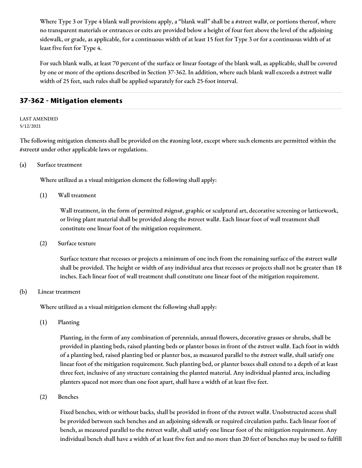Where Type 3 or Type 4 blank wall provisions apply, a "blank wall" shall be a #street wall#, or portions thereof, where no transparent materials or entrances or exits are provided below a height of four feet above the level of the adjoining sidewalk, or grade, as applicable, for a continuous width of at least 15 feet for Type 3 or for a continuous width of at least five feet for Type 4.

For such blank walls, at least 70 percent of the surface or linear footage of the blank wall, as applicable, shall be covered by one or more of the options described in Section 37-362. In addition, where such blank wall exceeds a #street wall# width of 25 feet, such rules shall be applied separately for each 25-foot interval.

# **37-362 - Mitigation elements**

#### LAST AMENDED 5/12/2021

The following mitigation elements shall be provided on the  $\#z$ oning lot $\#$ , except where such elements are permitted within the #street# under other applicable laws or regulations.

## (a) Surface treatment

Where utilized as a visual mitigation element the following shall apply:

(1) Wall treatment

Wall treatment, in the form of permitted #signs#, graphic or sculptural art, decorative screening or latticework, or living plant material shall be provided along the #street wall#. Each linear foot of wall treatment shall constitute one linear foot of the mitigation requirement.

(2) Surface texture

Surface texture that recesses or projects a minimum of one inch from the remaining surface of the #street wall# shall be provided. The height or width of any individual area that recesses or projects shall not be greater than 18 inches. Each linear foot of wall treatment shall constitute one linear foot of the mitigation requirement.

#### (b) Linear treatment

Where utilized as a visual mitigation element the following shall apply:

(1) Planting

Planting, in the form of any combination of perennials, annual flowers, decorative grasses or shrubs, shall be provided in planting beds, raised planting beds or planter boxes in front of the #street wall#. Each foot in width of a planting bed, raised planting bed or planter box, as measured parallel to the #street wall#, shall satisfy one linear foot of the mitigation requirement. Such planting bed, or planter boxes shall extend to a depth of at least three feet, inclusive of any structure containing the planted material. Any individual planted area, including planters spaced not more than one foot apart, shall have a width of at least five feet.

## (2) Benches

Fixed benches, with or without backs, shall be provided in front of the #street wall#. Unobstructed access shall be provided between such benches and an adjoining sidewalk or required circulation paths. Each linear foot of bench, as measured parallel to the #street wall#, shall satisfy one linear foot of the mitigation requirement. Any individual bench shall have a width of at least five feet and no more than 20 feet of benches may be used to fulfill